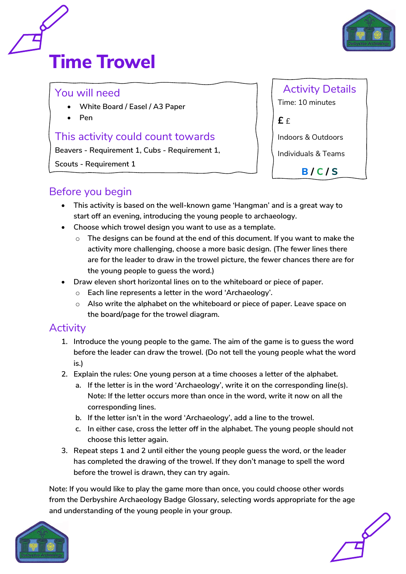



#### You will need

- **White Board / Easel / A3 Paper**
- **Pen**

### This activity could count towards

**Beavers - Requirement 1, Cubs - Requirement 1,** 

**Scouts - Requirement 1**

| <b>Activity Details</b>        |
|--------------------------------|
| Time: 10 minutes               |
| £ £                            |
| <b>Indoors &amp; Outdoors</b>  |
| <b>Individuals &amp; Teams</b> |
| B/C/S                          |

## Before you begin

- **This activity is based on the well-known game 'Hangman' and is a great way to start off an evening, introducing the young people to archaeology.**
- **Choose which trowel design you want to use as a template.**
	- o **The designs can be found at the end of this document. If you want to make the activity more challenging, choose a more basic design. (The fewer lines there are for the leader to draw in the trowel picture, the fewer chances there are for the young people to guess the word.)**
- **Draw eleven short horizontal lines on to the whiteboard or piece of paper.**
	- o **Each line represents a letter in the word 'Archaeology'.**
	- o **Also write the alphabet on the whiteboard or piece of paper. Leave space on the board/page for the trowel diagram.**

# **Activity**

- **1. Introduce the young people to the game. The aim of the game is to guess the word before the leader can draw the trowel. (Do not tell the young people what the word is.)**
- **2. Explain the rules: One young person at a time chooses a letter of the alphabet.**
	- **a. If the letter is in the word 'Archaeology', write it on the corresponding line(s). Note: If the letter occurs more than once in the word, write it now on all the corresponding lines.**
	- **b. If the letter isn't in the word 'Archaeology', add a line to the trowel.**
	- **c. In either case, cross the letter off in the alphabet. The young people should not choose this letter again.**
- **3. Repeat steps 1 and 2 until either the young people guess the word, or the leader has completed the drawing of the trowel. If they don't manage to spell the word before the trowel is drawn, they can try again.**

**Note: If you would like to play the game more than once, you could choose other words from the Derbyshire Archaeology Badge Glossary, selecting words appropriate for the age and understanding of the young people in your group.**



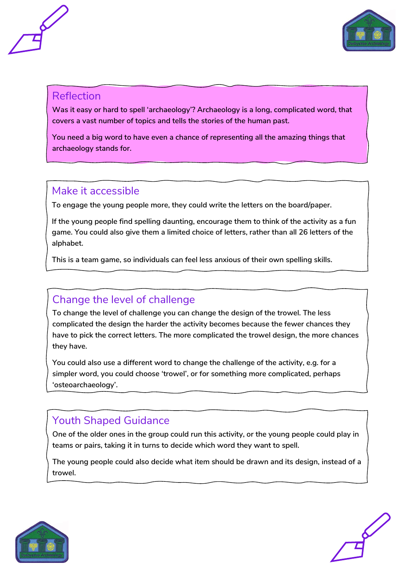



#### Reflection

**Was it easy or hard to spell 'archaeology'? Archaeology is a long, complicated word, that covers a vast number of topics and tells the stories of the human past.**

**You need a big word to have even a chance of representing all the amazing things that archaeology stands for.** 

### Make it accessible

**To engage the young people more, they could write the letters on the board/paper.** 

**If the young people find spelling daunting, encourage them to think of the activity as a fun game. You could also give them a limited choice of letters, rather than all 26 letters of the alphabet.**

**This is a team game, so individuals can feel less anxious of their own spelling skills.** 

## Change the level of challenge

**To change the level of challenge you can change the design of the trowel. The less complicated the design the harder the activity becomes because the fewer chances they have to pick the correct letters. The more complicated the trowel design, the more chances they have.** 

**You could also use a different word to change the challenge of the activity, e.g. for a simpler word, you could choose 'trowel', or for something more complicated, perhaps 'osteoarchaeology'.** 

# Youth Shaped Guidance

**One of the older ones in the group could run this activity, or the young people could play in teams or pairs, taking it in turns to decide which word they want to spell.**

**The young people could also decide what item should be drawn and its design, instead of a trowel.**